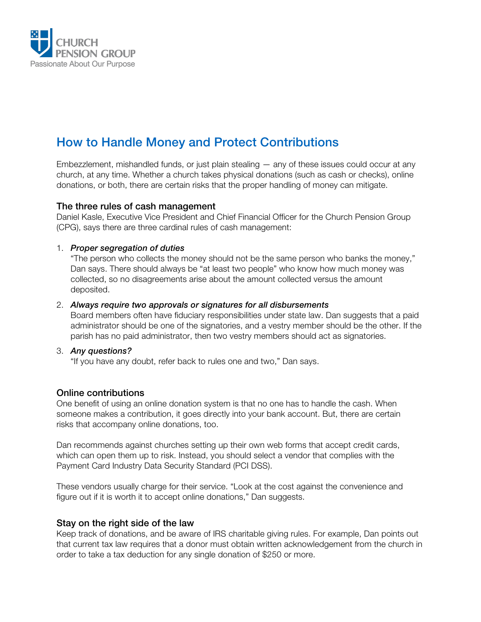

# How to Handle Money and Protect Contributions

Embezzlement, mishandled funds, or just plain stealing — any of these issues could occur at any church, at any time. Whether a church takes physical donations (such as cash or checks), online donations, or both, there are certain risks that the proper handling of money can mitigate.

### The three rules of cash management

Daniel Kasle, Executive Vice President and Chief Financial Officer for the Church Pension Group (CPG), says there are three cardinal rules of cash management:

#### 1. *Proper segregation of duties*

"The person who collects the money should not be the same person who banks the money," Dan says. There should always be "at least two people" who know how much money was collected, so no disagreements arise about the amount collected versus the amount deposited.

#### 2. *Always require two approvals or signatures for all disbursements*

Board members often have fiduciary responsibilities under state law. Dan suggests that a paid administrator should be one of the signatories, and a vestry member should be the other. If the parish has no paid administrator, then two vestry members should act as signatories.

#### 3. *Any questions?*

"If you have any doubt, refer back to rules one and two," Dan says.

## Online contributions

One benefit of using an online donation system is that no one has to handle the cash. When someone makes a contribution, it goes directly into your bank account. But, there are certain risks that accompany online donations, too.

Dan recommends against churches setting up their own web forms that accept credit cards, which can open them up to risk. Instead, you should select a vendor that complies with the Payment Card Industry Data Security Standard (PCI DSS).

These vendors usually charge for their service. "Look at the cost against the convenience and figure out if it is worth it to accept online donations," Dan suggests.

## Stay on the right side of the law

Keep track of donations, and be aware of IRS charitable giving rules. For example, Dan points out that current tax law requires that a donor must obtain written acknowledgement from the church in order to take a tax deduction for any single donation of \$250 or more.